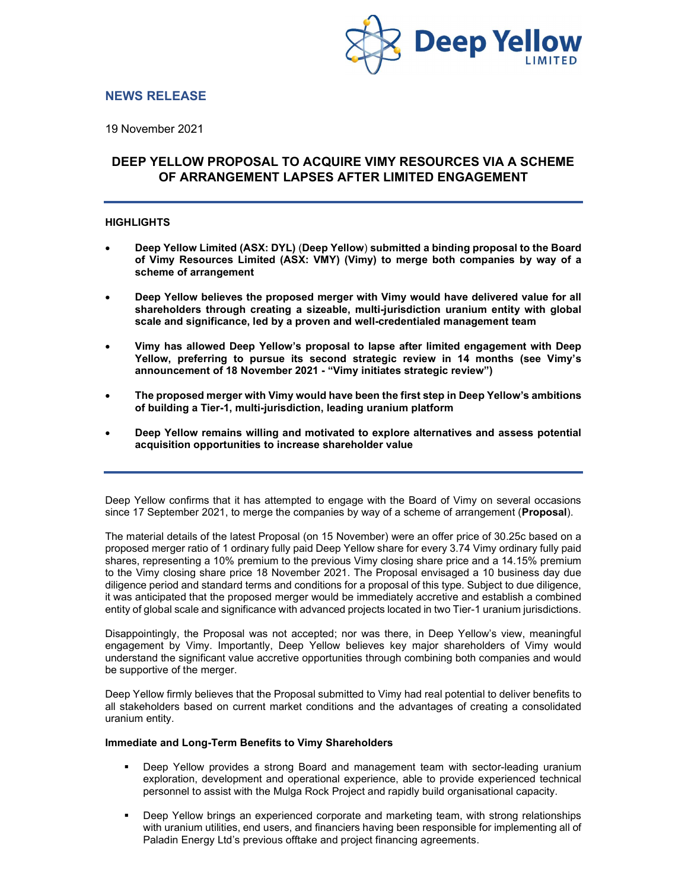

# NEWS RELEASE

19 November 2021

# DEEP YELLOW PROPOSAL TO ACQUIRE VIMY RESOURCES VIA A SCHEME OF ARRANGEMENT LAPSES AFTER LIMITED ENGAGEMENT

# **HIGHLIGHTS**

- Deep Yellow Limited (ASX: DYL) (Deep Yellow) submitted a binding proposal to the Board of Vimy Resources Limited (ASX: VMY) (Vimy) to merge both companies by way of a scheme of arrangement
- Deep Yellow believes the proposed merger with Vimy would have delivered value for all shareholders through creating a sizeable, multi-jurisdiction uranium entity with global scale and significance, led by a proven and well-credentialed management team
- Vimy has allowed Deep Yellow's proposal to lapse after limited engagement with Deep Yellow, preferring to pursue its second strategic review in 14 months (see Vimy's announcement of 18 November 2021 - "Vimy initiates strategic review")
- The proposed merger with Vimy would have been the first step in Deep Yellow's ambitions of building a Tier-1, multi-jurisdiction, leading uranium platform
- Deep Yellow remains willing and motivated to explore alternatives and assess potential acquisition opportunities to increase shareholder value

Deep Yellow confirms that it has attempted to engage with the Board of Vimy on several occasions since 17 September 2021, to merge the companies by way of a scheme of arrangement (**Proposal**).

The material details of the latest Proposal (on 15 November) were an offer price of 30.25c based on a proposed merger ratio of 1 ordinary fully paid Deep Yellow share for every 3.74 Vimy ordinary fully paid shares, representing a 10% premium to the previous Vimy closing share price and a 14.15% premium to the Vimy closing share price 18 November 2021. The Proposal envisaged a 10 business day due diligence period and standard terms and conditions for a proposal of this type. Subject to due diligence, it was anticipated that the proposed merger would be immediately accretive and establish a combined entity of global scale and significance with advanced projects located in two Tier-1 uranium jurisdictions.

Disappointingly, the Proposal was not accepted; nor was there, in Deep Yellow's view, meaningful engagement by Vimy. Importantly, Deep Yellow believes key major shareholders of Vimy would understand the significant value accretive opportunities through combining both companies and would be supportive of the merger.

Deep Yellow firmly believes that the Proposal submitted to Vimy had real potential to deliver benefits to all stakeholders based on current market conditions and the advantages of creating a consolidated uranium entity.

#### Immediate and Long-Term Benefits to Vimy Shareholders

- Deep Yellow provides a strong Board and management team with sector-leading uranium exploration, development and operational experience, able to provide experienced technical personnel to assist with the Mulga Rock Project and rapidly build organisational capacity.
- Deep Yellow brings an experienced corporate and marketing team, with strong relationships with uranium utilities, end users, and financiers having been responsible for implementing all of Paladin Energy Ltd's previous offtake and project financing agreements.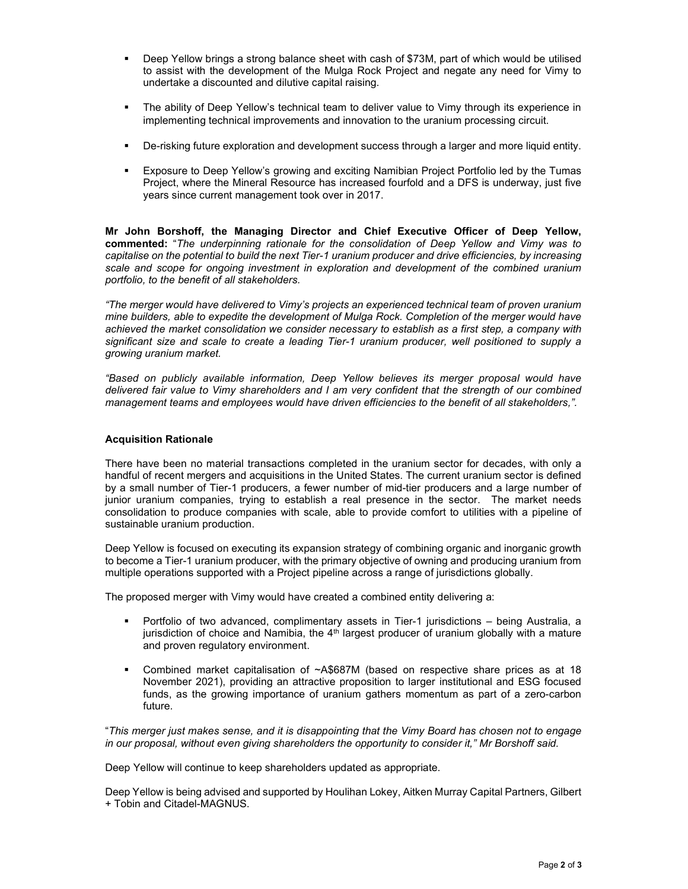- Deep Yellow brings a strong balance sheet with cash of \$73M, part of which would be utilised to assist with the development of the Mulga Rock Project and negate any need for Vimy to undertake a discounted and dilutive capital raising.
- The ability of Deep Yellow's technical team to deliver value to Vimy through its experience in implementing technical improvements and innovation to the uranium processing circuit.
- De-risking future exploration and development success through a larger and more liquid entity.
- Exposure to Deep Yellow's growing and exciting Namibian Project Portfolio led by the Tumas Project, where the Mineral Resource has increased fourfold and a DFS is underway, just five years since current management took over in 2017.

Mr John Borshoff, the Managing Director and Chief Executive Officer of Deep Yellow, commented: "The underpinning rationale for the consolidation of Deep Yellow and Vimy was to capitalise on the potential to build the next Tier-1 uranium producer and drive efficiencies, by increasing scale and scope for ongoing investment in exploration and development of the combined uranium portfolio, to the benefit of all stakeholders.

"The merger would have delivered to Vimy's projects an experienced technical team of proven uranium mine builders, able to expedite the development of Mulga Rock. Completion of the merger would have achieved the market consolidation we consider necessary to establish as a first step, a company with significant size and scale to create a leading Tier-1 uranium producer, well positioned to supply a growing uranium market.

"Based on publicly available information, Deep Yellow believes its merger proposal would have delivered fair value to Vimy shareholders and I am very confident that the strength of our combined management teams and employees would have driven efficiencies to the benefit of all stakeholders,".

#### Acquisition Rationale

There have been no material transactions completed in the uranium sector for decades, with only a handful of recent mergers and acquisitions in the United States. The current uranium sector is defined by a small number of Tier-1 producers, a fewer number of mid-tier producers and a large number of junior uranium companies, trying to establish a real presence in the sector. The market needs consolidation to produce companies with scale, able to provide comfort to utilities with a pipeline of sustainable uranium production.

Deep Yellow is focused on executing its expansion strategy of combining organic and inorganic growth to become a Tier-1 uranium producer, with the primary objective of owning and producing uranium from multiple operations supported with a Project pipeline across a range of jurisdictions globally.

The proposed merger with Vimy would have created a combined entity delivering a:

- Portfolio of two advanced, complimentary assets in Tier-1 jurisdictions being Australia, a jurisdiction of choice and Namibia, the  $4<sup>th</sup>$  largest producer of uranium globally with a mature and proven regulatory environment.
- Combined market capitalisation of ~A\$687M (based on respective share prices as at 18 November 2021), providing an attractive proposition to larger institutional and ESG focused funds, as the growing importance of uranium gathers momentum as part of a zero-carbon future.

"This merger just makes sense, and it is disappointing that the Vimy Board has chosen not to engage in our proposal, without even giving shareholders the opportunity to consider it," Mr Borshoff said.

Deep Yellow will continue to keep shareholders updated as appropriate.

Deep Yellow is being advised and supported by Houlihan Lokey, Aitken Murray Capital Partners, Gilbert + Tobin and Citadel-MAGNUS.